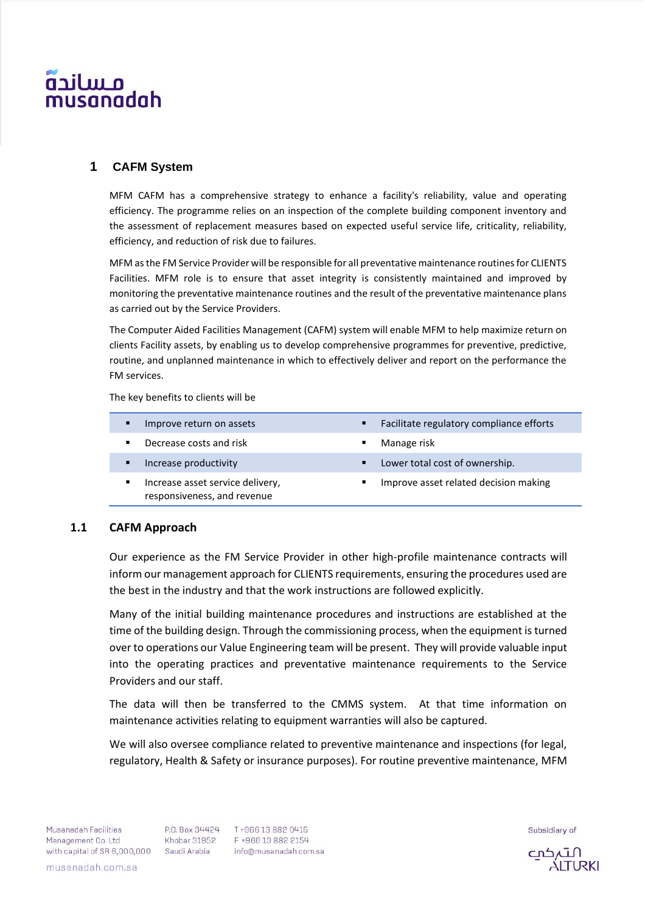# م سانحه usanadah

## **1 CAFM System**

MFM CAFM has a comprehensive strategy to enhance a facility's reliability, value and operating efficiency. The programme relies on an inspection of the complete building component inventory and the assessment of replacement measures based on expected useful service life, criticality, reliability, efficiency, and reduction of risk due to failures.

MFM as the FM Service Provider will be responsible for all preventative maintenance routines for CLIENTS Facilities. MFM role is to ensure that asset integrity is consistently maintained and improved by monitoring the preventative maintenance routines and the result of the preventative maintenance plans as carried out by the Service Providers.

The Computer Aided Facilities Management (CAFM) system will enable MFM to help maximize return on clients Facility assets, by enabling us to develop comprehensive programmes for preventive, predictive, routine, and unplanned maintenance in which to effectively deliver and report on the performance the FM services.

The key benefits to clients will be

| п | Improve return on assets                                        | ٠ | Facilitate regulatory compliance efforts |
|---|-----------------------------------------------------------------|---|------------------------------------------|
| ٠ | Decrease costs and risk                                         | ٠ | Manage risk                              |
| п | Increase productivity                                           | ٠ | Lower total cost of ownership.           |
| ٠ | Increase asset service delivery,<br>responsiveness, and revenue | ٠ | Improve asset related decision making    |
|   |                                                                 |   |                                          |

## **1.1 CAFM Approach**

Our experience as the FM Service Provider in other high-profile maintenance contracts will inform our management approach for CLIENTS requirements, ensuring the procedures used are the best in the industry and that the work instructions are followed explicitly.

Many of the initial building maintenance procedures and instructions are established at the time of the building design. Through the commissioning process, when the equipment is turned over to operations our Value Engineering team will be present. They will provide valuable input into the operating practices and preventative maintenance requirements to the Service Providers and our staff.

The data will then be transferred to the CMMS system. At that time information on maintenance activities relating to equipment warranties will also be captured.

We will also oversee compliance related to preventive maintenance and inspections (for legal, regulatory, Health & Safety or insurance purposes). For routine preventive maintenance, MFM

musanadah.com.sa

Subsidiary of

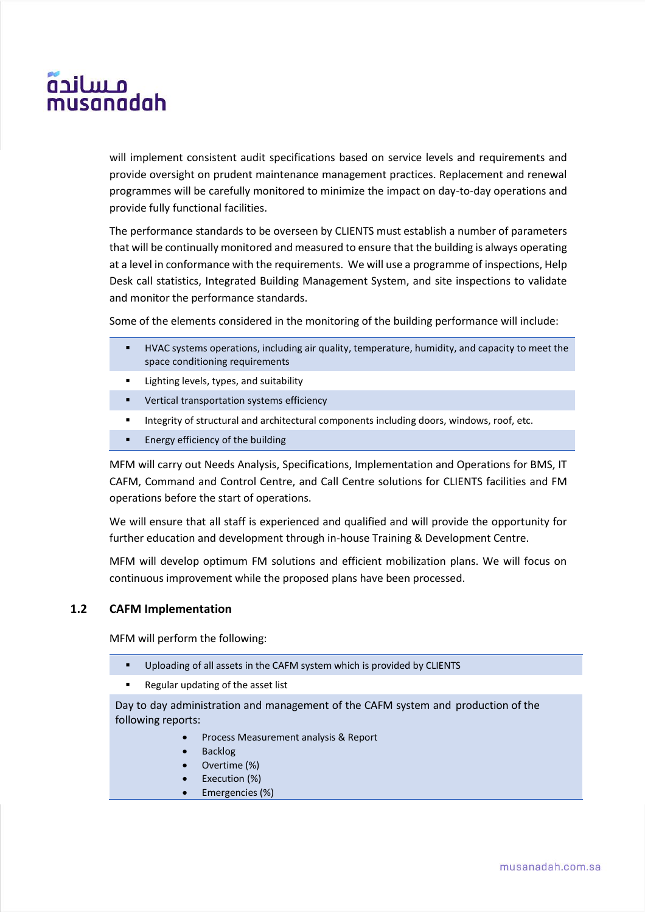# م سانچه usanadah

will implement consistent audit specifications based on service levels and requirements and provide oversight on prudent maintenance management practices. Replacement and renewal programmes will be carefully monitored to minimize the impact on day-to-day operations and provide fully functional facilities.

The performance standards to be overseen by CLIENTS must establish a number of parameters that will be continually monitored and measured to ensure that the building is always operating at a level in conformance with the requirements. We will use a programme of inspections, Help Desk call statistics, Integrated Building Management System, and site inspections to validate and monitor the performance standards.

Some of the elements considered in the monitoring of the building performance will include:

- HVAC systems operations, including air quality, temperature, humidity, and capacity to meet the space conditioning requirements
- Lighting levels, types, and suitability
- Vertical transportation systems efficiency
- **■** Integrity of structural and architectural components including doors, windows, roof, etc.
- Energy efficiency of the building

MFM will carry out Needs Analysis, Specifications, Implementation and Operations for BMS, IT CAFM, Command and Control Centre, and Call Centre solutions for CLIENTS facilities and FM operations before the start of operations.

We will ensure that all staff is experienced and qualified and will provide the opportunity for further education and development through in-house Training & Development Centre.

MFM will develop optimum FM solutions and efficient mobilization plans. We will focus on continuous improvement while the proposed plans have been processed.

## **1.2 CAFM Implementation**

MFM will perform the following:

- Uploading of all assets in the CAFM system which is provided by CLIENTS
- Regular updating of the asset list

Day to day administration and management of the CAFM system and production of the following reports:

- Process Measurement analysis & Report
- Backlog
- Overtime (%)
- Execution (%)
- Emergencies (%)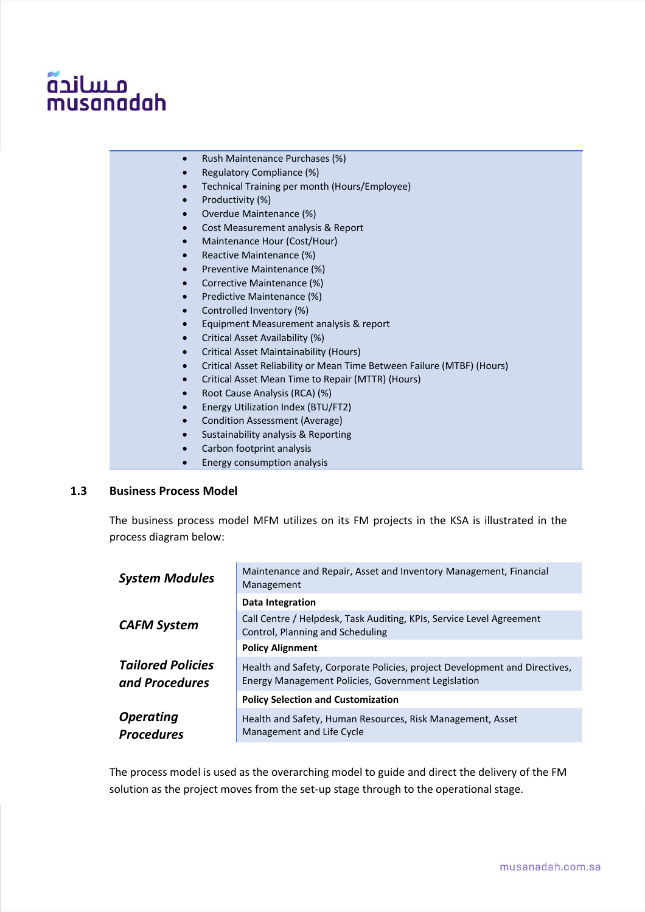# مساندة musanadah

- Rush Maintenance Purchases (%)
- Regulatory Compliance (%)
- Technical Training per month (Hours/Employee)
- Productivity (%)
- Overdue Maintenance (%)
- Cost Measurement analysis & Report
- Maintenance Hour (Cost/Hour)
- Reactive Maintenance (%)
- Preventive Maintenance (%)
- Corrective Maintenance (%)
- Predictive Maintenance (%)
- Controlled Inventory (%)
- Equipment Measurement analysis & report
- Critical Asset Availability (%)
- Critical Asset Maintainability (Hours)
- Critical Asset Reliability or Mean Time Between Failure (MTBF) (Hours)
- Critical Asset Mean Time to Repair (MTTR) (Hours)
- Root Cause Analysis (RCA) (%)
- Energy Utilization Index (BTU/FT2)
- Condition Assessment (Average)
- Sustainability analysis & Reporting
- Carbon footprint analysis
- Energy consumption analysis

## **1.3 Business Process Model**

The business process model MFM utilizes on its FM projects in the KSA is illustrated in the process diagram below:

| <b>System Modules</b>                      | Maintenance and Repair, Asset and Inventory Management, Financial<br>Management                                                  |  |  |  |  |  |  |
|--------------------------------------------|----------------------------------------------------------------------------------------------------------------------------------|--|--|--|--|--|--|
|                                            | <b>Data Integration</b>                                                                                                          |  |  |  |  |  |  |
| <b>CAFM System</b>                         | Call Centre / Helpdesk, Task Auditing, KPIs, Service Level Agreement<br>Control, Planning and Scheduling                         |  |  |  |  |  |  |
|                                            | <b>Policy Alignment</b>                                                                                                          |  |  |  |  |  |  |
| <b>Tailored Policies</b><br>and Procedures | Health and Safety, Corporate Policies, project Development and Directives,<br>Energy Management Policies, Government Legislation |  |  |  |  |  |  |
|                                            | <b>Policy Selection and Customization</b>                                                                                        |  |  |  |  |  |  |
| <b>Operating</b><br><b>Procedures</b>      | Health and Safety, Human Resources, Risk Management, Asset<br>Management and Life Cycle                                          |  |  |  |  |  |  |

The process model is used as the overarching model to guide and direct the delivery of the FM solution as the project moves from the set-up stage through to the operational stage.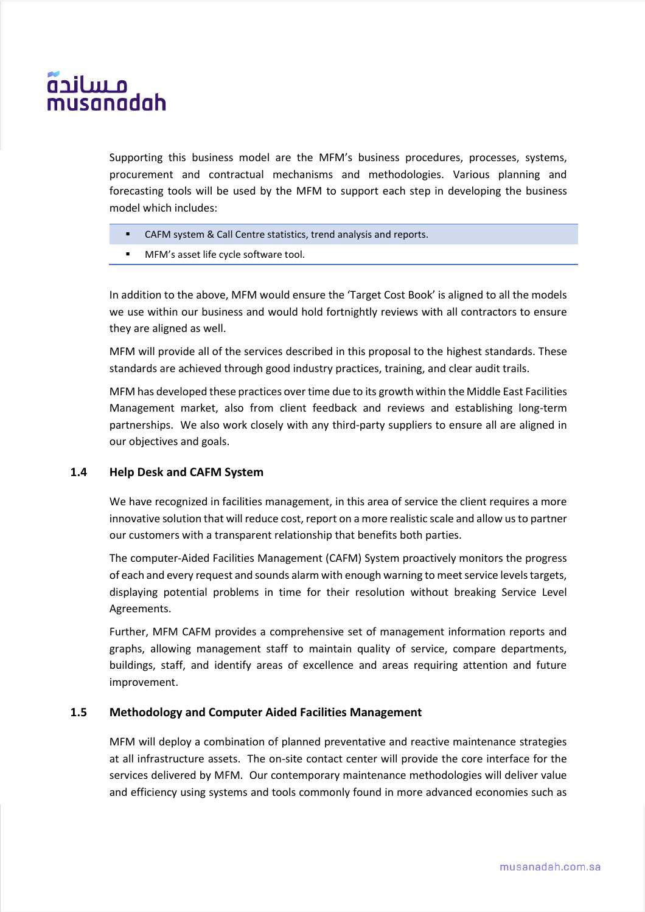# م سانچه usanadah

Supporting this business model are the MFM's business procedures, processes, systems, procurement and contractual mechanisms and methodologies. Various planning and forecasting tools will be used by the MFM to support each step in developing the business model which includes:

- CAFM system & Call Centre statistics, trend analysis and reports.
- MFM's asset life cycle software tool.

In addition to the above, MFM would ensure the 'Target Cost Book' is aligned to all the models we use within our business and would hold fortnightly reviews with all contractors to ensure they are aligned as well.

MFM will provide all of the services described in this proposal to the highest standards. These standards are achieved through good industry practices, training, and clear audit trails.

MFM has developed these practices over time due to its growth within the Middle East Facilities Management market, also from client feedback and reviews and establishing long-term partnerships. We also work closely with any third-party suppliers to ensure all are aligned in our objectives and goals.

## **1.4 Help Desk and CAFM System**

We have recognized in facilities management, in this area of service the client requires a more innovative solution that will reduce cost, report on a more realistic scale and allow us to partner our customers with a transparent relationship that benefits both parties.

The computer-Aided Facilities Management (CAFM) System proactively monitors the progress of each and every request and sounds alarm with enough warning to meet service levels targets, displaying potential problems in time for their resolution without breaking Service Level Agreements.

Further, MFM CAFM provides a comprehensive set of management information reports and graphs, allowing management staff to maintain quality of service, compare departments, buildings, staff, and identify areas of excellence and areas requiring attention and future improvement.

## **1.5 Methodology and Computer Aided Facilities Management**

MFM will deploy a combination of planned preventative and reactive maintenance strategies at all infrastructure assets. The on-site contact center will provide the core interface for the services delivered by MFM. Our contemporary maintenance methodologies will deliver value and efficiency using systems and tools commonly found in more advanced economies such as